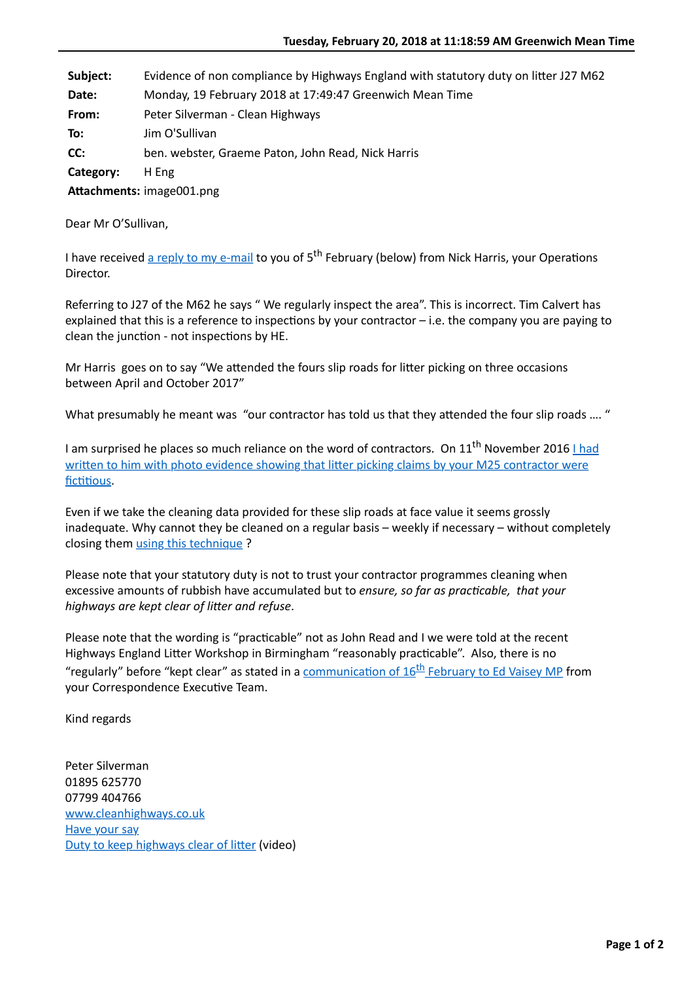Subject: Evidence of non compliance by Highways England with statutory duty on litter J27 M62

**Date:** Monday, 19 February 2018 at 17:49:47 Greenwich Mean Time

- **From:** Peter Silverman Clean Highways
- **To:** Jim O'Sullivan
- **CC:** ben. webster, Graeme Paton, John Read, Nick Harris

**Category:** H Eng

Attachments: image001.png

Dear Mr O'Sullivan,

I have received [a reply to my e-mail](http://www.cleanhighways.co.uk/wp-content/uploads/2018/02/HE-N-Harris-to-PS-15_02_18.pdf) to you of 5<sup>th</sup> February (below) from Nick Harris, your Operations Director.

Referring to J27 of the M62 he says " We regularly inspect the area". This is incorrect. Tim Calvert has explained that this is a reference to inspections by your contractor  $-$  i.e. the company you are paying to clean the junction - not inspections by HE.

Mr Harris goes on to say "We attended the fours slip roads for litter picking on three occasions between April and October 2017"

What presumably he meant was "our contractor has told us that they attended the four slip roads .... "

I am surprised he places so much reliance on the word of contractors. On 11<sup>th</sup> November 2016 I had written to him with photo evidence showing that litter picking claims by your M25 contractor were fictitious.

Even if we take the cleaning data provided for these slip roads at face value it seems grossly inadequate. Why cannot they be cleaned on a regular basis – weekly if necessary – without completely closing them [using this technique](http://www.cleanhighways.co.uk/wp-content/uploads/2017/01/Blocking-vehicles-on-slip.jpg) ?

Please note that your statutory duty is not to trust your contractor programmes cleaning when excessive amounts of rubbish have accumulated but to *ensure, so far as practicable, that your* highways are kept clear of litter and refuse.

Please note that the wording is "practicable" not as John Read and I we were told at the recent Highways England Litter Workshop in Birmingham "reasonably practicable". Also, there is no "regularly" before "kept clear" as stated in a communication of  $16<sup>th</sup>$  February to Ed Vaisey MP from your Correspondence Executive Team.

Kind regards

Peter Silverman 01895 625770 07799 404766 [www.cleanhighways.co.uk](http://www.cleanhighways.co.uk/) [Have your say](http://www.cleanhighways.co.uk/comments) Duty to keep highways clear of litter (video)